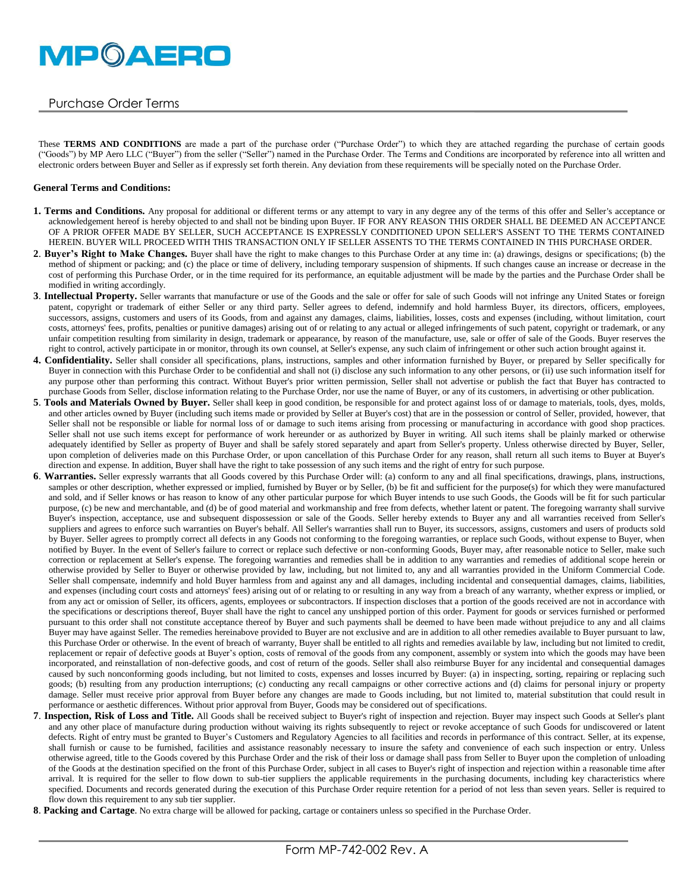

# Purchase Order Terms

These **TERMS AND CONDITIONS** are made a part of the purchase order ("Purchase Order") to which they are attached regarding the purchase of certain goods ("Goods") by MP Aero LLC ("Buyer") from the seller ("Seller") named in the Purchase Order. The Terms and Conditions are incorporated by reference into all written and electronic orders between Buyer and Seller as if expressly set forth therein. Any deviation from these requirements will be specially noted on the Purchase Order.

#### **General Terms and Conditions:**

- 1. Terms and Conditions. Any proposal for additional or different terms or any attempt to vary in any degree any of the terms of this offer and Seller's acceptance or acknowledgement hereof is hereby objected to and shall not be binding upon Buyer. IF FOR ANY REASON THIS ORDER SHALL BE DEEMED AN ACCEPTANCE OF A PRIOR OFFER MADE BY SELLER, SUCH ACCEPTANCE IS EXPRESSLY CONDITIONED UPON SELLER'S ASSENT TO THE TERMS CONTAINED HEREIN. BUYER WILL PROCEED WITH THIS TRANSACTION ONLY IF SELLER ASSENTS TO THE TERMS CONTAINED IN THIS PURCHASE ORDER.
- **2**. **Buyer's Right to Make Changes.** Buyer shall have the right to make changes to this Purchase Order at any time in: (a) drawings, designs or specifications; (b) the method of shipment or packing; and (c) the place or time of delivery, including temporary suspension of shipments. If such changes cause an increase or decrease in the cost of performing this Purchase Order, or in the time required for its performance, an equitable adjustment will be made by the parties and the Purchase Order shall be modified in writing accordingly.
- **3**. **Intellectual Property.** Seller warrants that manufacture or use of the Goods and the sale or offer for sale of such Goods will not infringe any United States or foreign patent, copyright or trademark of either Seller or any third party. Seller agrees to defend, indemnify and hold harmless Buyer, its directors, officers, employees, successors, assigns, customers and users of its Goods, from and against any damages, claims, liabilities, losses, costs and expenses (including, without limitation, court costs, attorneys' fees, profits, penalties or punitive damages) arising out of or relating to any actual or alleged infringements of such patent, copyright or trademark, or any unfair competition resulting from similarity in design, trademark or appearance, by reason of the manufacture, use, sale or offer of sale of the Goods. Buyer reserves the right to control, actively participate in or monitor, through its own counsel, at Seller's expense, any such claim of infringement or other such action brought against it.
- 4. Confidentiality. Seller shall consider all specifications, plans, instructions, samples and other information furnished by Buyer, or prepared by Seller specifically for Buyer in connection with this Purchase Order to be confidential and shall not (i) disclose any such information to any other persons, or (ii) use such information itself for any purpose other than performing this contract. Without Buyer's prior written permission, Seller shall not advertise or publish the fact that Buyer has contracted to purchase Goods from Seller, disclose information relating to the Purchase Order, nor use the name of Buyer, or any of its customers, in advertising or other publication.
- **5**. **Tools and Materials Owned by Buyer.** Seller shall keep in good condition, be responsible for and protect against loss of or damage to materials, tools, dyes, molds, and other articles owned by Buyer (including such items made or provided by Seller at Buyer's cost) that are in the possession or control of Seller, provided, however, that Seller shall not be responsible or liable for normal loss of or damage to such items arising from processing or manufacturing in accordance with good shop practices. Seller shall not use such items except for performance of work hereunder or as authorized by Buyer in writing. All such items shall be plainly marked or otherwise adequately identified by Seller as property of Buyer and shall be safely stored separately and apart from Seller's property. Unless otherwise directed by Buyer, Seller, upon completion of deliveries made on this Purchase Order, or upon cancellation of this Purchase Order for any reason, shall return all such items to Buyer at Buyer's direction and expense. In addition, Buyer shall have the right to take possession of any such items and the right of entry for such purpose.
- **6**. **Warranties.** Seller expressly warrants that all Goods covered by this Purchase Order will: (a) conform to any and all final specifications, drawings, plans, instructions, samples or other description, whether expressed or implied, furnished by Buyer or by Seller, (b) be fit and sufficient for the purpose(s) for which they were manufactured and sold, and if Seller knows or has reason to know of any other particular purpose for which Buyer intends to use such Goods, the Goods will be fit for such particular purpose, (c) be new and merchantable, and (d) be of good material and workmanship and free from defects, whether latent or patent. The foregoing warranty shall survive Buyer's inspection, acceptance, use and subsequent dispossession or sale of the Goods. Seller hereby extends to Buyer any and all warranties received from Seller's suppliers and agrees to enforce such warranties on Buyer's behalf. All Seller's warranties shall run to Buyer, its successors, assigns, customers and users of products sold by Buyer. Seller agrees to promptly correct all defects in any Goods not conforming to the foregoing warranties, or replace such Goods, without expense to Buyer, when notified by Buyer. In the event of Seller's failure to correct or replace such defective or non-conforming Goods, Buyer may, after reasonable notice to Seller, make such correction or replacement at Seller's expense. The foregoing warranties and remedies shall be in addition to any warranties and remedies of additional scope herein or otherwise provided by Seller to Buyer or otherwise provided by law, including, but not limited to, any and all warranties provided in the Uniform Commercial Code. Seller shall compensate, indemnify and hold Buyer harmless from and against any and all damages, including incidental and consequential damages, claims, liabilities, and expenses (including court costs and attorneys' fees) arising out of or relating to or resulting in any way from a breach of any warranty, whether express or implied, or from any act or omission of Seller, its officers, agents, employees or subcontractors. If inspection discloses that a portion of the goods received are not in accordance with the specifications or descriptions thereof, Buyer shall have the right to cancel any unshipped portion of this order. Payment for goods or services furnished or performed pursuant to this order shall not constitute acceptance thereof by Buyer and such payments shall be deemed to have been made without prejudice to any and all claims Buyer may have against Seller. The remedies hereinabove provided to Buyer are not exclusive and are in addition to all other remedies available to Buyer pursuant to law, this Purchase Order or otherwise. In the event of breach of warranty, Buyer shall be entitled to all rights and remedies available by law, including but not limited to credit, replacement or repair of defective goods at Buyer's option, costs of removal of the goods from any component, assembly or system into which the goods may have been incorporated, and reinstallation of non-defective goods, and cost of return of the goods. Seller shall also reimburse Buyer for any incidental and consequential damages caused by such nonconforming goods including, but not limited to costs, expenses and losses incurred by Buyer: (a) in inspecting, sorting, repairing or replacing such goods; (b) resulting from any production interruptions; (c) conducting any recall campaigns or other corrective actions and (d) claims for personal injury or property damage. Seller must receive prior approval from Buyer before any changes are made to Goods including, but not limited to, material substitution that could result in performance or aesthetic differences. Without prior approval from Buyer, Goods may be considered out of specifications.
- **7**. **Inspection, Risk of Loss and Title.** All Goods shall be received subject to Buyer's right of inspection and rejection. Buyer may inspect such Goods at Seller's plant and any other place of manufacture during production without waiving its rights subsequently to reject or revoke acceptance of such Goods for undiscovered or latent defects. Right of entry must be granted to Buyer's Customers and Regulatory Agencies to all facilities and records in performance of this contract. Seller, at its expense, shall furnish or cause to be furnished, facilities and assistance reasonably necessary to insure the safety and convenience of each such inspection or entry. Unless otherwise agreed, title to the Goods covered by this Purchase Order and the risk of their loss or damage shall pass from Seller to Buyer upon the completion of unloading of the Goods at the destination specified on the front of this Purchase Order, subject in all cases to Buyer's right of inspection and rejection within a reasonable time after arrival. It is required for the seller to flow down to sub-tier suppliers the applicable requirements in the purchasing documents, including key characteristics where specified. Documents and records generated during the execution of this Purchase Order require retention for a period of not less than seven years. Seller is required to flow down this requirement to any sub tier supplier.
- **8**. **Packing and Cartage**. No extra charge will be allowed for packing, cartage or containers unless so specified in the Purchase Order.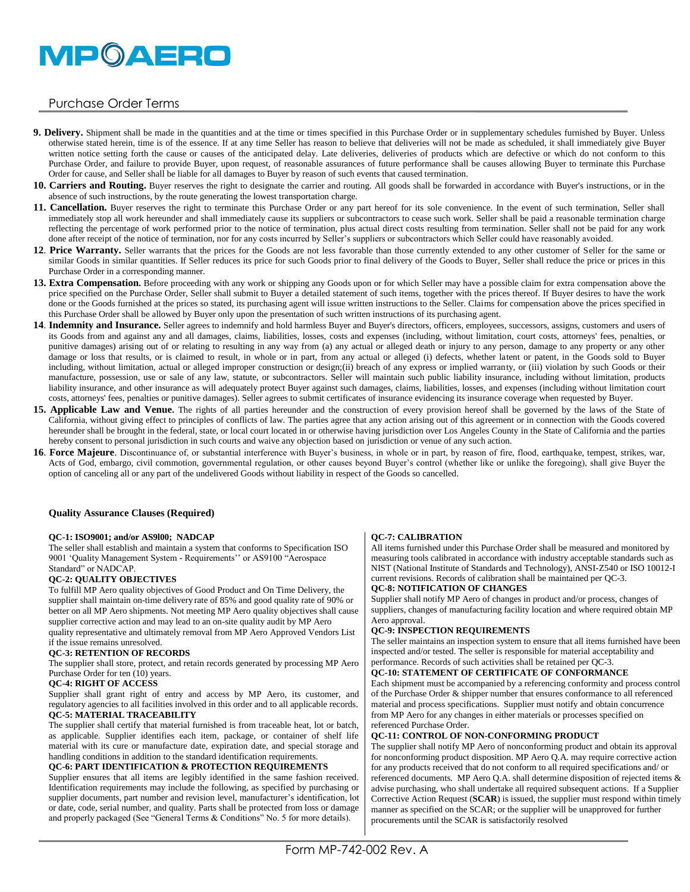# **MPOAERO**

# Purchase Order Terms

- **9. Delivery.** Shipment shall be made in the quantities and at the time or times specified in this Purchase Order or in supplementary schedules furnished by Buyer. Unless otherwise stated herein, time is of the essence. If at any time Seller has reason to believe that deliveries will not be made as scheduled, it shall immediately give Buyer written notice setting forth the cause or causes of the anticipated delay. Late deliveries, deliveries of products which are defective or which do not conform to this Purchase Order, and failure to provide Buyer, upon request, of reasonable assurances of future performance shall be causes allowing Buyer to terminate this Purchase Order for cause, and Seller shall be liable for all damages to Buyer by reason of such events that caused termination.
- **10. Carriers and Routing.** Buyer reserves the right to designate the carrier and routing. All goods shall be forwarded in accordance with Buyer's instructions, or in the absence of such instructions, by the route generating the lowest transportation charge.
- **11. Cancellation.** Buyer reserves the right to terminate this Purchase Order or any part hereof for its sole convenience. In the event of such termination, Seller shall immediately stop all work hereunder and shall immediately cause its suppliers or subcontractors to cease such work. Seller shall be paid a reasonable termination charge reflecting the percentage of work performed prior to the notice of termination, plus actual direct costs resulting from termination. Seller shall not be paid for any work done after receipt of the notice of termination, nor for any costs incurred by Seller's suppliers or subcontractors which Seller could have reasonably avoided.
- 12. Price Warranty. Seller warrants that the prices for the Goods are not less favorable than those currently extended to any other customer of Seller for the same or similar Goods in similar quantities. If Seller reduces its price for such Goods prior to final delivery of the Goods to Buyer, Seller shall reduce the price or prices in this Purchase Order in a corresponding manner.
- **13. Extra Compensation.** Before proceeding with any work or shipping any Goods upon or for which Seller may have a possible claim for extra compensation above the price specified on the Purchase Order, Seller shall submit to Buyer a detailed statement of such items, together with the prices thereof. If Buyer desires to have the work done or the Goods furnished at the prices so stated, its purchasing agent will issue written instructions to the Seller. Claims for compensation above the prices specified in this Purchase Order shall be allowed by Buyer only upon the presentation of such written instructions of its purchasing agent.
- **14**. **Indemnity and Insurance.** Seller agrees to indemnify and hold harmless Buyer and Buyer's directors, officers, employees, successors, assigns, customers and users of its Goods from and against any and all damages, claims, liabilities, losses, costs and expenses (including, without limitation, court costs, attorneys' fees, penalties, or punitive damages) arising out of or relating to resulting in any way from (a) any actual or alleged death or injury to any person, damage to any property or any other damage or loss that results, or is claimed to result, in whole or in part, from any actual or alleged (i) defects, whether latent or patent, in the Goods sold to Buyer including, without limitation, actual or alleged improper construction or design;(ii) breach of any express or implied warranty, or (iii) violation by such Goods or their manufacture, possession, use or sale of any law, statute, or subcontractors. Seller will maintain such public liability insurance, including without limitation, products liability insurance, and other insurance as will adequately protect Buyer against such damages, claims, liabilities, losses, and expenses (including without limitation court costs, attorneys' fees, penalties or punitive damages). Seller agrees to submit certificates of insurance evidencing its insurance coverage when requested by Buyer.
- 15. Applicable Law and Venue. The rights of all parties hereunder and the construction of every provision hereof shall be governed by the laws of the State of California, without giving effect to principles of conflicts of law. The parties agree that any action arising out of this agreement or in connection with the Goods covered hereunder shall be brought in the federal, state, or local court located in or otherwise having jurisdiction over Los Angeles County in the State of California and the parties hereby consent to personal jurisdiction in such courts and waive any objection based on jurisdiction or venue of any such action.
- **16**. **Force Majeure**. Discontinuance of, or substantial interference with Buyer's business, in whole or in part, by reason of fire, flood, earthquake, tempest, strikes, war, Acts of God, embargo, civil commotion, governmental regulation, or other causes beyond Buyer's control (whether like or unlike the foregoing), shall give Buyer the option of canceling all or any part of the undelivered Goods without liability in respect of the Goods so cancelled.

#### **Quality Assurance Clauses (Required)**

#### **QC-1: ISO9001; and/or AS9l00; NADCAP**

The seller shall establish and maintain a system that conforms to Specification ISO 9001 'Quality Management System - Requirements'' or AS9100 "Aerospace Standard" or NADCAP.

#### **QC-2: QUALITY OBJECTIVES**

To fulfill MP Aero quality objectives of Good Product and On Time Delivery, the supplier shall maintain on-time delivery rate of 85% and good quality rate of 90% or better on all MP Aero shipments. Not meeting MP Aero quality objectives shall cause supplier corrective action and may lead to an on-site quality audit by MP Aero

quality representative and ultimately removal from MP Aero Approved Vendors List if the issue remains unresolved.

#### **QC-3: RETENTION OF RECORDS**

The supplier shall store, protect, and retain records generated by processing MP Aero Purchase Order for ten (10) years.

#### **QC-4: RIGHT OF ACCESS**

Supplier shall grant right of entry and access by MP Aero, its customer, and regulatory agencies to all facilities involved in this order and to all applicable records. **QC-5: MATERIAL TRACEABILITY**

The supplier shall certify that material furnished is from traceable heat, lot or batch, as applicable. Supplier identifies each item, package, or container of shelf life material with its cure or manufacture date, expiration date, and special storage and handling conditions in addition to the standard identification requirements.

#### **QC-6: PART IDENTIFICATION & PROTECTION REQUIREMENTS**

Supplier ensures that all items are legibly identified in the same fashion received. Identification requirements may include the following, as specified by purchasing or supplier documents, part number and revision level, manufacturer's identification, lot or date, code, serial number, and quality. Parts shall be protected from loss or damage and properly packaged (See "General Terms & Conditions" No. 5 for more details).

#### **QC-7: CALIBRATION**

All items furnished under this Purchase Order shall be measured and monitored by measuring tools calibrated in accordance with industry acceptable standards such as NIST (National Institute of Standards and Technology), ANSI-Z540 or ISO 10012-I current revisions. Records of calibration shall be maintained per QC-3.

#### **QC-8: NOTIFICATION OF CHANGES**

Supplier shall notify MP Aero of changes in product and/or process, changes of suppliers, changes of manufacturing facility location and where required obtain MP Aero approval.

## **QC-9: INSPECTION REQUIREMENTS**

The seller maintains an inspection system to ensure that all items furnished have been inspected and/or tested. The seller is responsible for material acceptability and performance. Records of such activities shall be retained per QC-3.

#### **QC-10: STATEMENT OF CERTIFICATE OF CONFORMANCE**

Each shipment must be accompanied by a referencing conformity and process control of the Purchase Order & shipper number that ensures conformance to all referenced material and process specifications. Supplier must notify and obtain concurrence from MP Aero for any changes in either materials or processes specified on referenced Purchase Order.

#### **QC-11: CONTROL OF NON-CONFORMING PRODUCT**

The supplier shall notify MP Aero of nonconforming product and obtain its approval for nonconforming product disposition. MP Aero Q.A. may require corrective action for any products received that do not conform to all required specifications and/ or referenced documents. MP Aero Q.A. shall determine disposition of rejected items & advise purchasing, who shall undertake all required subsequent actions. If a Supplier Corrective Action Request (**SCAR**) is issued, the supplier must respond within timely manner as specified on the SCAR; or the supplier will be unapproved for further procurements until the SCAR is satisfactorily resolved